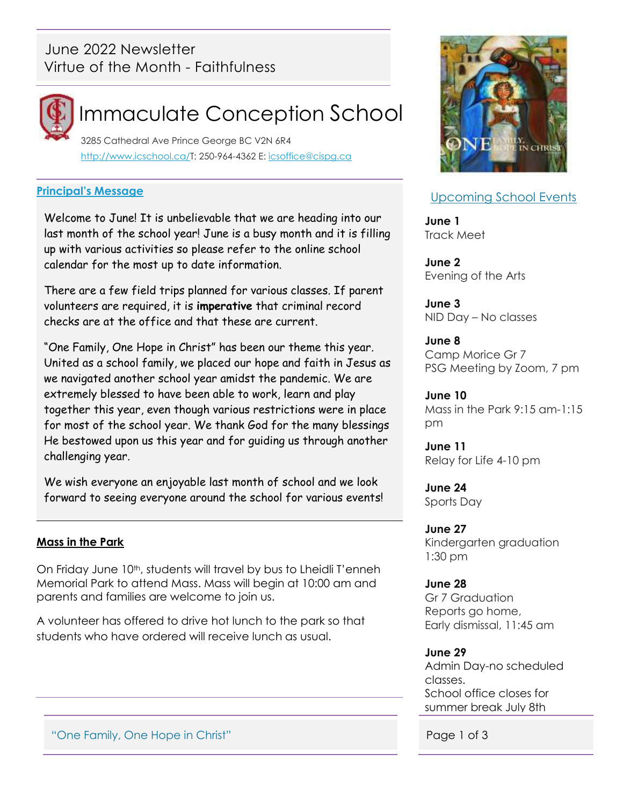## June 2022 Newsletter Virtue of the Month - Faithfulness



# Immaculate Conception School

 3285 Cathedral Ave Prince George BC V2N 6R4 [http://www.icschool.ca/T](http://www.icschool.ca/): 250-964-4362 E: [icsoffice@cispg.ca](file:///C:/Users/Office/Documents/School%202017-2018/Newsletters/09%20-MAY/icsoffice@cispg.ca)

#### **Principal's Message**

Welcome to June! It is unbelievable that we are heading into our last month of the school year! June is a busy month and it is filling up with various activities so please refer to the online school calendar for the most up to date information.

There are a few field trips planned for various classes. If parent volunteers are required, it is **imperative** that criminal record checks are at the office and that these are current.

"One Family, One Hope in Christ" has been our theme this year. United as a school family, we placed our hope and faith in Jesus as we navigated another school year amidst the pandemic. We are extremely blessed to have been able to work, learn and play together this year, even though various restrictions were in place for most of the school year. We thank God for the many blessings He bestowed upon us this year and for guiding us through another challenging year.

We wish everyone an enjoyable last month of school and we look forward to seeing everyone around the school for various events!

### **Mass in the Park**

On Friday June 10<sup>th</sup>, students will travel by bus to Lheidli T'enneh Memorial Park to attend Mass. Mass will begin at 10:00 am and parents and families are welcome to join us.

A volunteer has offered to drive hot lunch to the park so that students who have ordered will receive lunch as usual.

### Upcoming School Events

**June 1** Track Meet

**June 2** Evening of the Arts

**June 3** NID Day – No classes

**June 8** Camp Morice Gr 7 PSG Meeting by Zoom, 7 pm

**June 10** Mass in the Park 9:15 am-1:15 pm

**June 11** Relay for Life 4-10 pm

**June 24** Sports Day

**June 27** Kindergarten graduation 1:30 pm

#### **June 28**

Gr 7 Graduation Reports go home, Early dismissal, 11:45 am

#### **June 29**

Admin Day-no scheduled classes. School office closes for summer break July 8th

"One Family, One Hope in Christ" **Page 1 of 3**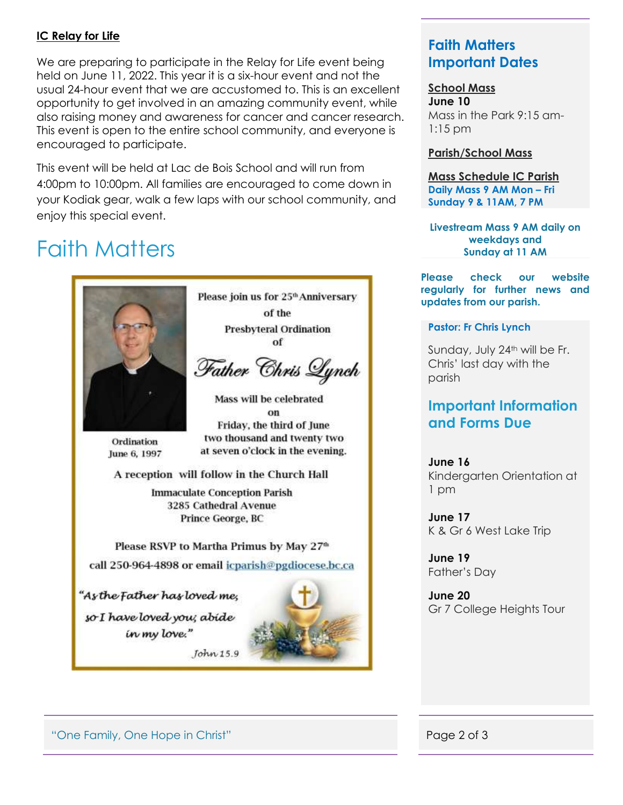#### **IC Relay for Life**

We are preparing to participate in the Relay for Life event being held on June 11, 2022. This year it is a six-hour event and not the usual 24-hour event that we are accustomed to. This is an excellent opportunity to get involved in an amazing community event, while also raising money and awareness for cancer and cancer research. This event is open to the entire school community, and everyone is encouraged to participate.

This event will be held at Lac de Bois School and will run from 4:00pm to 10:00pm. All families are encouraged to come down in your Kodiak gear, walk a few laps with our school community, and enjoy this special event.

# Faith Matters



Please join us for 25<sup>th</sup> Anniversary of the **Presbyteral Ordination** 

of

Father Chris Lynch

Mass will be celebrated on Friday, the third of June two thousand and twenty two at seven o'clock in the evening.

Ordination June 6, 1997

A reception will follow in the Church Hall

**Immaculate Conception Parish** 3285 Cathedral Avenue Prince George, BC

Please RSVP to Martha Primus by May 27<sup>th</sup>

call 250-964-4898 or email icparish@pgdiocese.bc.ca

John 15.9

"As the Father has loved me, so I have loved you; abide in my love."



### **Faith Matters Important Dates**

#### **School Mass**

**June 10** Mass in the Park 9:15 am-1:15 pm

#### **Parish/School Mass**

**Mass Schedule IC Parish Daily Mass 9 AM Mon – Fri Sunday 9 & 11AM, 7 PM**

**Livestream Mass 9 AM daily on weekdays and Sunday at 11 AM**

**Please check our website regularly for further news and updates from our parish.**

#### **Pastor: Fr Chris Lynch**

Sunday, July 24<sup>th</sup> will be Fr. Chris' last day with the parish

### **Important Information and Forms Due**

**June 16** Kindergarten Orientation at 1 pm

**June 17** K & Gr 6 West Lake Trip

**June 19** Father's Day

**June 20** Gr 7 College Heights Tour

"One Family, One Hope in Christ" **Page 2 of 3**